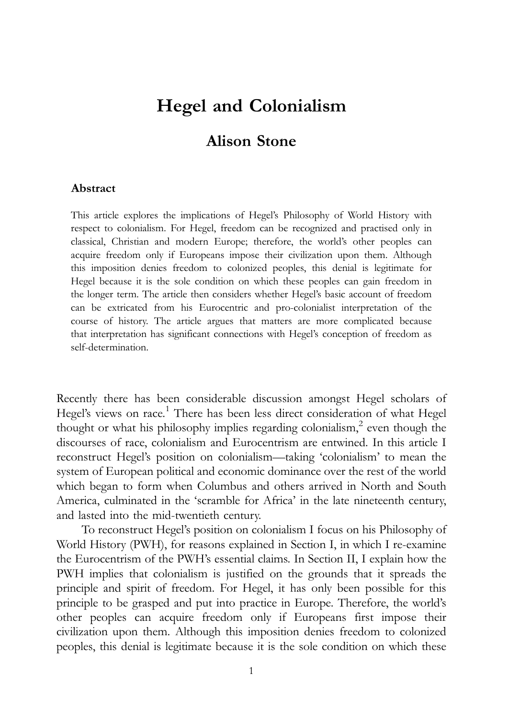# Hegel and Colonialism

# Alison Stone

#### Abstract

This article explores the implications of Hegel's Philosophy of World History with respect to colonialism. For Hegel, freedom can be recognized and practised only in classical, Christian and modern Europe; therefore, the world's other peoples can acquire freedom only if Europeans impose their civilization upon them. Although this imposition denies freedom to colonized peoples, this denial is legitimate for Hegel because it is the sole condition on which these peoples can gain freedom in the longer term. The article then considers whether Hegel's basic account of freedom can be extricated from his Eurocentric and pro-colonialist interpretation of the course of history. The article argues that matters are more complicated because that interpretation has significant connections with Hegel's conception of freedom as self-determination.

Recently there has been considerable discussion amongst Hegel scholars of Hegel's views on race.<sup>1</sup> There has been less direct consideration of what Hegel thought or what his philosophy implies regarding colonialism,<sup>2</sup> even though the discourses of race, colonialism and Eurocentrism are entwined. In this article I reconstruct Hegel's position on colonialism—taking 'colonialism' to mean the system of European political and economic dominance over the rest of the world which began to form when Columbus and others arrived in North and South America, culminated in the 'scramble for Africa' in the late nineteenth century, and lasted into the mid-twentieth century.

To reconstruct Hegel's position on colonialism I focus on his Philosophy of World History (PWH), for reasons explained in Section I, in which I re-examine the Eurocentrism of the PWH's essential claims. In Section II, I explain how the PWH implies that colonialism is justified on the grounds that it spreads the principle and spirit of freedom. For Hegel, it has only been possible for this principle to be grasped and put into practice in Europe. Therefore, the world's other peoples can acquire freedom only if Europeans first impose their civilization upon them. Although this imposition denies freedom to colonized peoples, this denial is legitimate because it is the sole condition on which these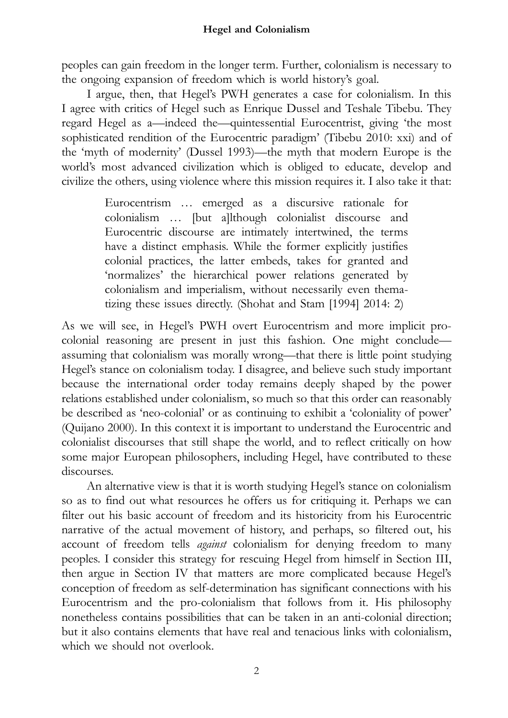peoples can gain freedom in the longer term. Further, colonialism is necessary to the ongoing expansion of freedom which is world history's goal.

I argue, then, that Hegel's PWH generates a case for colonialism. In this I agree with critics of Hegel such as Enrique Dussel and Teshale Tibebu. They regard Hegel as a—indeed the—quintessential Eurocentrist, giving 'the most sophisticated rendition of the Eurocentric paradigm' (Tibebu 2010: xxi) and of the 'myth of modernity' (Dussel 1993)—the myth that modern Europe is the world's most advanced civilization which is obliged to educate, develop and civilize the others, using violence where this mission requires it. I also take it that:

> Eurocentrism … emerged as a discursive rationale for colonialism … [but a]lthough colonialist discourse and Eurocentric discourse are intimately intertwined, the terms have a distinct emphasis. While the former explicitly justifies colonial practices, the latter embeds, takes for granted and 'normalizes' the hierarchical power relations generated by colonialism and imperialism, without necessarily even thematizing these issues directly. (Shohat and Stam [1994] 2014: 2)

As we will see, in Hegel's PWH overt Eurocentrism and more implicit procolonial reasoning are present in just this fashion. One might conclude assuming that colonialism was morally wrong—that there is little point studying Hegel's stance on colonialism today. I disagree, and believe such study important because the international order today remains deeply shaped by the power relations established under colonialism, so much so that this order can reasonably be described as 'neo-colonial' or as continuing to exhibit a 'coloniality of power' (Quijano 2000). In this context it is important to understand the Eurocentric and colonialist discourses that still shape the world, and to reflect critically on how some major European philosophers, including Hegel, have contributed to these discourses.

An alternative view is that it is worth studying Hegel's stance on colonialism so as to find out what resources he offers us for critiquing it. Perhaps we can filter out his basic account of freedom and its historicity from his Eurocentric narrative of the actual movement of history, and perhaps, so filtered out, his account of freedom tells against colonialism for denying freedom to many peoples. I consider this strategy for rescuing Hegel from himself in Section III, then argue in Section IV that matters are more complicated because Hegel's conception of freedom as self-determination has significant connections with his Eurocentrism and the pro-colonialism that follows from it. His philosophy nonetheless contains possibilities that can be taken in an anti-colonial direction; but it also contains elements that have real and tenacious links with colonialism, which we should not overlook.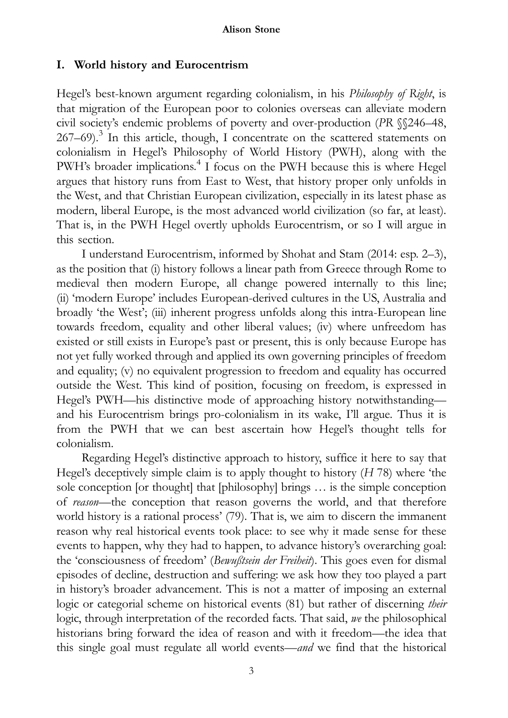# I. World history and Eurocentrism

Hegel's best-known argument regarding colonialism, in his *Philosophy of Right*, is that migration of the European poor to colonies overseas can alleviate modern civil society's endemic problems of poverty and over-production (PR §§246–48,  $267-69$ .<sup>3</sup> In this article, though, I concentrate on the scattered statements on colonialism in Hegel's Philosophy of World History (PWH), along with the PWH's broader implications.<sup>4</sup> I focus on the PWH because this is where Hegel argues that history runs from East to West, that history proper only unfolds in the West, and that Christian European civilization, especially in its latest phase as modern, liberal Europe, is the most advanced world civilization (so far, at least). That is, in the PWH Hegel overtly upholds Eurocentrism, or so I will argue in this section.

I understand Eurocentrism, informed by Shohat and Stam (2014: esp. 2–3), as the position that (i) history follows a linear path from Greece through Rome to medieval then modern Europe, all change powered internally to this line; (ii) 'modern Europe' includes European-derived cultures in the US, Australia and broadly 'the West'; (iii) inherent progress unfolds along this intra-European line towards freedom, equality and other liberal values; (iv) where unfreedom has existed or still exists in Europe's past or present, this is only because Europe has not yet fully worked through and applied its own governing principles of freedom and equality; (v) no equivalent progression to freedom and equality has occurred outside the West. This kind of position, focusing on freedom, is expressed in Hegel's PWH—his distinctive mode of approaching history notwithstanding and his Eurocentrism brings pro-colonialism in its wake, I'll argue. Thus it is from the PWH that we can best ascertain how Hegel's thought tells for colonialism.

Regarding Hegel's distinctive approach to history, suffice it here to say that Hegel's deceptively simple claim is to apply thought to history  $(H 78)$  where 'the sole conception [or thought] that [philosophy] brings … is the simple conception of reason—the conception that reason governs the world, and that therefore world history is a rational process' (79). That is, we aim to discern the immanent reason why real historical events took place: to see why it made sense for these events to happen, why they had to happen, to advance history's overarching goal: the 'consciousness of freedom' (Bewußtsein der Freiheit). This goes even for dismal episodes of decline, destruction and suffering: we ask how they too played a part in history's broader advancement. This is not a matter of imposing an external logic or categorial scheme on historical events (81) but rather of discerning their logic, through interpretation of the recorded facts. That said, we the philosophical historians bring forward the idea of reason and with it freedom—the idea that this single goal must regulate all world events—and we find that the historical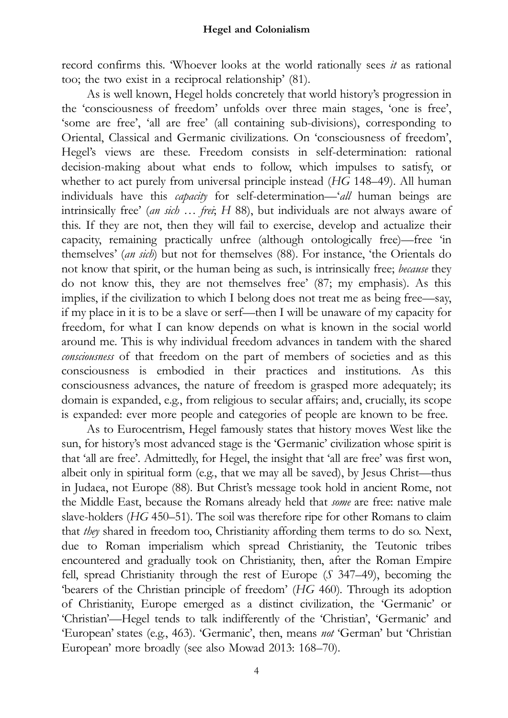record confirms this. 'Whoever looks at the world rationally sees it as rational too; the two exist in a reciprocal relationship' (81).

As is well known, Hegel holds concretely that world history's progression in the 'consciousness of freedom' unfolds over three main stages, 'one is free', 'some are free', 'all are free' (all containing sub-divisions), corresponding to Oriental, Classical and Germanic civilizations. On 'consciousness of freedom', Hegel's views are these. Freedom consists in self-determination: rational decision-making about what ends to follow, which impulses to satisfy, or whether to act purely from universal principle instead (HG 148–49). All human individuals have this *capacity* for self-determination—'all human beings are intrinsically free' (an sich ... frei; H 88), but individuals are not always aware of this. If they are not, then they will fail to exercise, develop and actualize their capacity, remaining practically unfree (although ontologically free)—free 'in themselves' (an sich) but not for themselves (88). For instance, 'the Orientals do not know that spirit, or the human being as such, is intrinsically free; because they do not know this, they are not themselves free' (87; my emphasis). As this implies, if the civilization to which I belong does not treat me as being free—say, if my place in it is to be a slave or serf—then I will be unaware of my capacity for freedom, for what I can know depends on what is known in the social world around me. This is why individual freedom advances in tandem with the shared consciousness of that freedom on the part of members of societies and as this consciousness is embodied in their practices and institutions. As this consciousness advances, the nature of freedom is grasped more adequately; its domain is expanded, e.g., from religious to secular affairs; and, crucially, its scope is expanded: ever more people and categories of people are known to be free.

As to Eurocentrism, Hegel famously states that history moves West like the sun, for history's most advanced stage is the 'Germanic' civilization whose spirit is that 'all are free'. Admittedly, for Hegel, the insight that 'all are free' was first won, albeit only in spiritual form (e.g., that we may all be saved), by Jesus Christ—thus in Judaea, not Europe (88). But Christ's message took hold in ancient Rome, not the Middle East, because the Romans already held that some are free: native male slave-holders (HG 450–51). The soil was therefore ripe for other Romans to claim that they shared in freedom too, Christianity affording them terms to do so. Next, due to Roman imperialism which spread Christianity, the Teutonic tribes encountered and gradually took on Christianity, then, after the Roman Empire fell, spread Christianity through the rest of Europe (S 347–49), becoming the 'bearers of the Christian principle of freedom' (HG 460). Through its adoption of Christianity, Europe emerged as a distinct civilization, the 'Germanic' or 'Christian'—Hegel tends to talk indifferently of the 'Christian', 'Germanic' and 'European' states (e.g., 463). 'Germanic', then, means not 'German' but 'Christian European' more broadly (see also Mowad 2013: 168–70).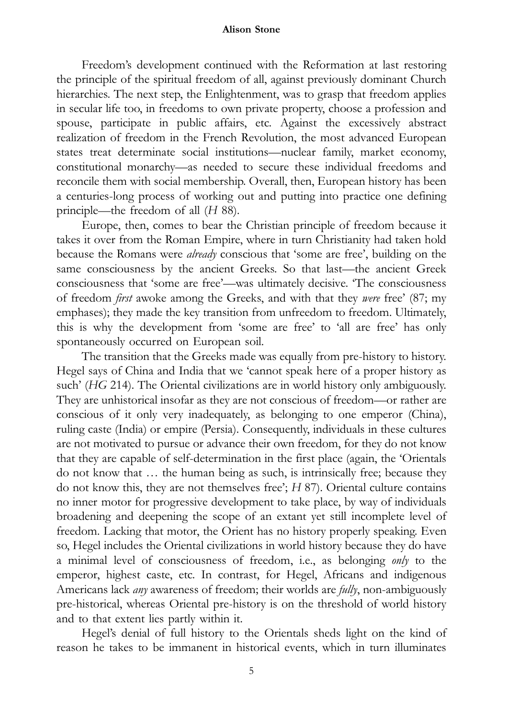Freedom's development continued with the Reformation at last restoring the principle of the spiritual freedom of all, against previously dominant Church hierarchies. The next step, the Enlightenment, was to grasp that freedom applies in secular life too, in freedoms to own private property, choose a profession and spouse, participate in public affairs, etc. Against the excessively abstract realization of freedom in the French Revolution, the most advanced European states treat determinate social institutions—nuclear family, market economy, constitutional monarchy—as needed to secure these individual freedoms and reconcile them with social membership. Overall, then, European history has been a centuries-long process of working out and putting into practice one defining principle—the freedom of all (H 88).

Europe, then, comes to bear the Christian principle of freedom because it takes it over from the Roman Empire, where in turn Christianity had taken hold because the Romans were already conscious that 'some are free', building on the same consciousness by the ancient Greeks. So that last—the ancient Greek consciousness that 'some are free'—was ultimately decisive. 'The consciousness of freedom first awoke among the Greeks, and with that they were free' (87; my emphases); they made the key transition from unfreedom to freedom. Ultimately, this is why the development from 'some are free' to 'all are free' has only spontaneously occurred on European soil.

The transition that the Greeks made was equally from pre-history to history. Hegel says of China and India that we 'cannot speak here of a proper history as such' (HG 214). The Oriental civilizations are in world history only ambiguously. They are unhistorical insofar as they are not conscious of freedom—or rather are conscious of it only very inadequately, as belonging to one emperor (China), ruling caste (India) or empire (Persia). Consequently, individuals in these cultures are not motivated to pursue or advance their own freedom, for they do not know that they are capable of self-determination in the first place (again, the 'Orientals do not know that … the human being as such, is intrinsically free; because they do not know this, they are not themselves free'; H 87). Oriental culture contains no inner motor for progressive development to take place, by way of individuals broadening and deepening the scope of an extant yet still incomplete level of freedom. Lacking that motor, the Orient has no history properly speaking. Even so, Hegel includes the Oriental civilizations in world history because they do have a minimal level of consciousness of freedom, i.e., as belonging only to the emperor, highest caste, etc. In contrast, for Hegel, Africans and indigenous Americans lack *any* awareness of freedom; their worlds are *fully*, non-ambiguously pre-historical, whereas Oriental pre-history is on the threshold of world history and to that extent lies partly within it.

Hegel's denial of full history to the Orientals sheds light on the kind of reason he takes to be immanent in historical events, which in turn illuminates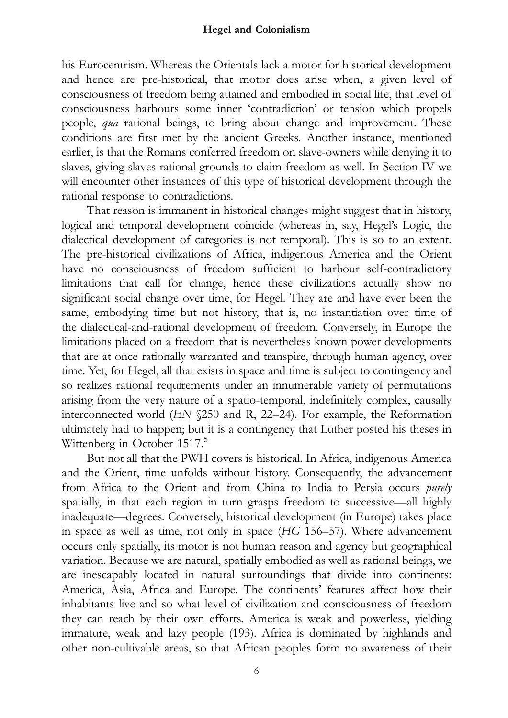his Eurocentrism. Whereas the Orientals lack a motor for historical development and hence are pre-historical, that motor does arise when, a given level of consciousness of freedom being attained and embodied in social life, that level of consciousness harbours some inner 'contradiction' or tension which propels people, qua rational beings, to bring about change and improvement. These conditions are first met by the ancient Greeks. Another instance, mentioned earlier, is that the Romans conferred freedom on slave-owners while denying it to slaves, giving slaves rational grounds to claim freedom as well. In Section IV we will encounter other instances of this type of historical development through the rational response to contradictions.

That reason is immanent in historical changes might suggest that in history, logical and temporal development coincide (whereas in, say, Hegel's Logic, the dialectical development of categories is not temporal). This is so to an extent. The pre-historical civilizations of Africa, indigenous America and the Orient have no consciousness of freedom sufficient to harbour self-contradictory limitations that call for change, hence these civilizations actually show no significant social change over time, for Hegel. They are and have ever been the same, embodying time but not history, that is, no instantiation over time of the dialectical-and-rational development of freedom. Conversely, in Europe the limitations placed on a freedom that is nevertheless known power developments that are at once rationally warranted and transpire, through human agency, over time. Yet, for Hegel, all that exists in space and time is subject to contingency and so realizes rational requirements under an innumerable variety of permutations arising from the very nature of a spatio-temporal, indefinitely complex, causally interconnected world (EN §250 and R, 22–24). For example, the Reformation ultimately had to happen; but it is a contingency that Luther posted his theses in Wittenberg in October 1517.<sup>5</sup>

But not all that the PWH covers is historical. In Africa, indigenous America and the Orient, time unfolds without history. Consequently, the advancement from Africa to the Orient and from China to India to Persia occurs purely spatially, in that each region in turn grasps freedom to successive—all highly inadequate—degrees. Conversely, historical development (in Europe) takes place in space as well as time, not only in space (HG 156–57). Where advancement occurs only spatially, its motor is not human reason and agency but geographical variation. Because we are natural, spatially embodied as well as rational beings, we are inescapably located in natural surroundings that divide into continents: America, Asia, Africa and Europe. The continents' features affect how their inhabitants live and so what level of civilization and consciousness of freedom they can reach by their own efforts. America is weak and powerless, yielding immature, weak and lazy people (193). Africa is dominated by highlands and other non-cultivable areas, so that African peoples form no awareness of their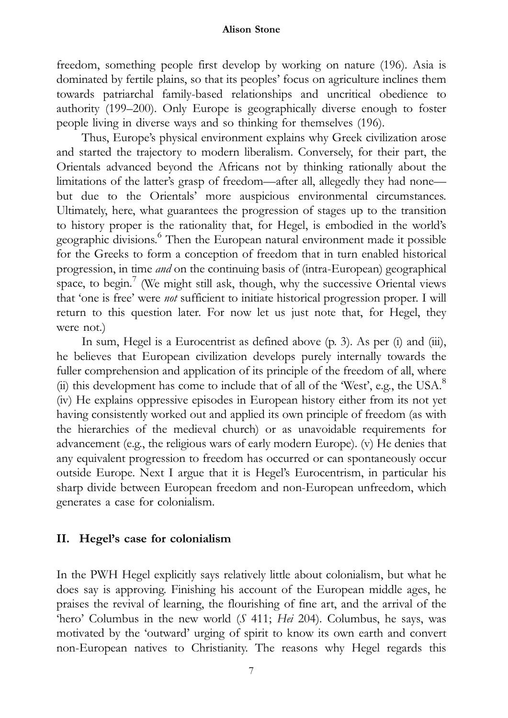freedom, something people first develop by working on nature (196). Asia is dominated by fertile plains, so that its peoples' focus on agriculture inclines them towards patriarchal family-based relationships and uncritical obedience to authority (199–200). Only Europe is geographically diverse enough to foster people living in diverse ways and so thinking for themselves (196).

Thus, Europe's physical environment explains why Greek civilization arose and started the trajectory to modern liberalism. Conversely, for their part, the Orientals advanced beyond the Africans not by thinking rationally about the limitations of the latter's grasp of freedom—after all, allegedly they had none but due to the Orientals' more auspicious environmental circumstances. Ultimately, here, what guarantees the progression of stages up to the transition to history proper is the rationality that, for Hegel, is embodied in the world's geographic divisions.<sup>6</sup> Then the European natural environment made it possible for the Greeks to form a conception of freedom that in turn enabled historical progression, in time and on the continuing basis of (intra-European) geographical space, to begin.<sup>7</sup> (We might still ask, though, why the successive Oriental views that 'one is free' were not sufficient to initiate historical progression proper. I will return to this question later. For now let us just note that, for Hegel, they were not.)

In sum, Hegel is a Eurocentrist as defined above (p. 3). As per (i) and (iii), he believes that European civilization develops purely internally towards the fuller comprehension and application of its principle of the freedom of all, where (ii) this development has come to include that of all of the 'West', e.g., the USA. $^8$ (iv) He explains oppressive episodes in European history either from its not yet having consistently worked out and applied its own principle of freedom (as with the hierarchies of the medieval church) or as unavoidable requirements for advancement (e.g., the religious wars of early modern Europe). (v) He denies that any equivalent progression to freedom has occurred or can spontaneously occur outside Europe. Next I argue that it is Hegel's Eurocentrism, in particular his sharp divide between European freedom and non-European unfreedom, which generates a case for colonialism.

#### II. Hegel's case for colonialism

In the PWH Hegel explicitly says relatively little about colonialism, but what he does say is approving. Finishing his account of the European middle ages, he praises the revival of learning, the flourishing of fine art, and the arrival of the 'hero' Columbus in the new world (S 411; Hei 204). Columbus, he says, was motivated by the 'outward' urging of spirit to know its own earth and convert non-European natives to Christianity. The reasons why Hegel regards this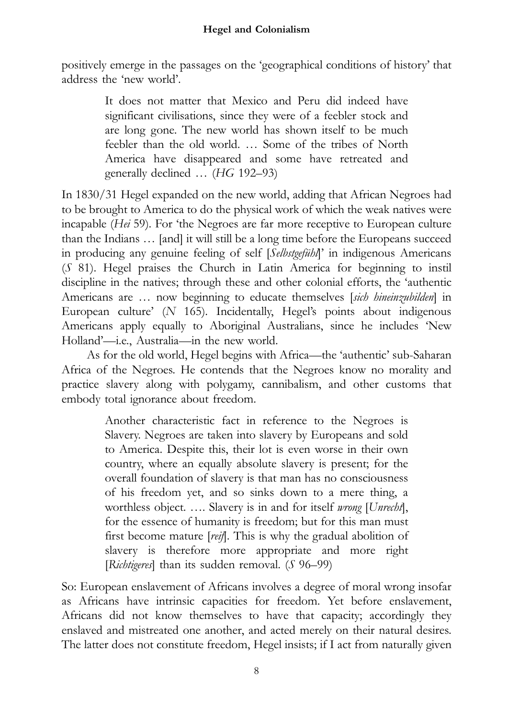positively emerge in the passages on the 'geographical conditions of history' that address the 'new world'.

> It does not matter that Mexico and Peru did indeed have significant civilisations, since they were of a feebler stock and are long gone. The new world has shown itself to be much feebler than the old world. … Some of the tribes of North America have disappeared and some have retreated and generally declined … (HG 192–93)

In 1830/31 Hegel expanded on the new world, adding that African Negroes had to be brought to America to do the physical work of which the weak natives were incapable (Hei 59). For 'the Negroes are far more receptive to European culture than the Indians … [and] it will still be a long time before the Europeans succeed in producing any genuine feeling of self [Selbstgefühl]' in indigenous Americans (S 81). Hegel praises the Church in Latin America for beginning to instil discipline in the natives; through these and other colonial efforts, the 'authentic Americans are ... now beginning to educate themselves [sich hineinzubilden] in European culture' (N 165). Incidentally, Hegel's points about indigenous Americans apply equally to Aboriginal Australians, since he includes 'New Holland'—i.e., Australia—in the new world.

As for the old world, Hegel begins with Africa—the 'authentic' sub-Saharan Africa of the Negroes. He contends that the Negroes know no morality and practice slavery along with polygamy, cannibalism, and other customs that embody total ignorance about freedom.

> Another characteristic fact in reference to the Negroes is Slavery. Negroes are taken into slavery by Europeans and sold to America. Despite this, their lot is even worse in their own country, where an equally absolute slavery is present; for the overall foundation of slavery is that man has no consciousness of his freedom yet, and so sinks down to a mere thing, a worthless object. .... Slavery is in and for itself wrong [Unrecht], for the essence of humanity is freedom; but for this man must first become mature [reif]. This is why the gradual abolition of slavery is therefore more appropriate and more right [Richtigeres] than its sudden removal. (S 96-99)

So: European enslavement of Africans involves a degree of moral wrong insofar as Africans have intrinsic capacities for freedom. Yet before enslavement, Africans did not know themselves to have that capacity; accordingly they enslaved and mistreated one another, and acted merely on their natural desires. The latter does not constitute freedom, Hegel insists; if I act from naturally given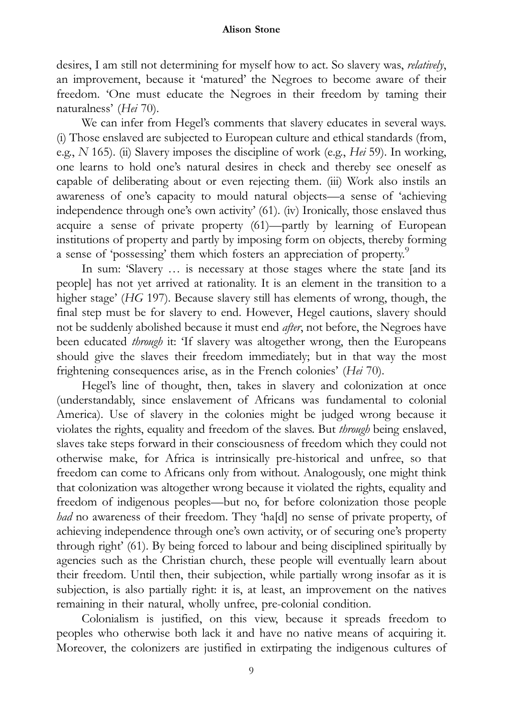desires, I am still not determining for myself how to act. So slavery was, relatively, an improvement, because it 'matured' the Negroes to become aware of their freedom. 'One must educate the Negroes in their freedom by taming their naturalness' (Hei 70).

We can infer from Hegel's comments that slavery educates in several ways. (i) Those enslaved are subjected to European culture and ethical standards (from, e.g., N 165). (ii) Slavery imposes the discipline of work (e.g., Hei 59). In working, one learns to hold one's natural desires in check and thereby see oneself as capable of deliberating about or even rejecting them. (iii) Work also instils an awareness of one's capacity to mould natural objects—a sense of 'achieving independence through one's own activity' (61). (iv) Ironically, those enslaved thus acquire a sense of private property (61)—partly by learning of European institutions of property and partly by imposing form on objects, thereby forming a sense of 'possessing' them which fosters an appreciation of property.<sup>9</sup>

In sum: 'Slavery … is necessary at those stages where the state [and its people] has not yet arrived at rationality. It is an element in the transition to a higher stage' (HG 197). Because slavery still has elements of wrong, though, the final step must be for slavery to end. However, Hegel cautions, slavery should not be suddenly abolished because it must end *after*, not before, the Negroes have been educated through it: 'If slavery was altogether wrong, then the Europeans should give the slaves their freedom immediately; but in that way the most frightening consequences arise, as in the French colonies' (Hei 70).

Hegel's line of thought, then, takes in slavery and colonization at once (understandably, since enslavement of Africans was fundamental to colonial America). Use of slavery in the colonies might be judged wrong because it violates the rights, equality and freedom of the slaves. But through being enslaved, slaves take steps forward in their consciousness of freedom which they could not otherwise make, for Africa is intrinsically pre-historical and unfree, so that freedom can come to Africans only from without. Analogously, one might think that colonization was altogether wrong because it violated the rights, equality and freedom of indigenous peoples—but no, for before colonization those people had no awareness of their freedom. They 'ha[d] no sense of private property, of achieving independence through one's own activity, or of securing one's property through right' (61). By being forced to labour and being disciplined spiritually by agencies such as the Christian church, these people will eventually learn about their freedom. Until then, their subjection, while partially wrong insofar as it is subjection, is also partially right: it is, at least, an improvement on the natives remaining in their natural, wholly unfree, pre-colonial condition.

Colonialism is justified, on this view, because it spreads freedom to peoples who otherwise both lack it and have no native means of acquiring it. Moreover, the colonizers are justified in extirpating the indigenous cultures of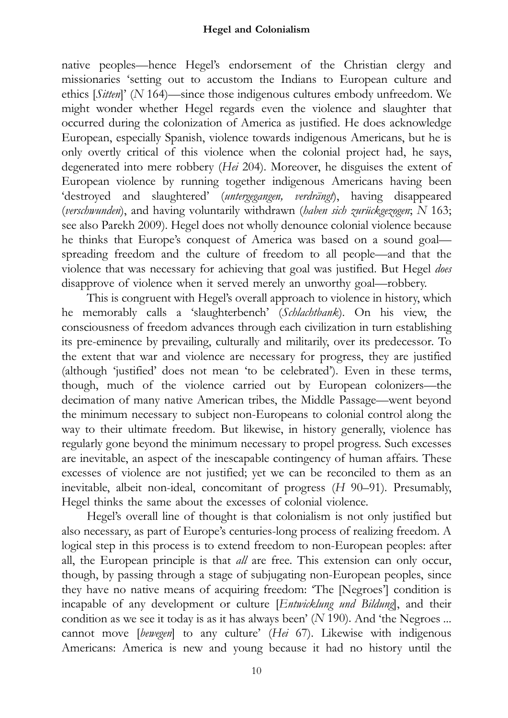native peoples—hence Hegel's endorsement of the Christian clergy and missionaries 'setting out to accustom the Indians to European culture and ethics [Sitten]' (N 164)—since those indigenous cultures embody unfreedom. We might wonder whether Hegel regards even the violence and slaughter that occurred during the colonization of America as justified. He does acknowledge European, especially Spanish, violence towards indigenous Americans, but he is only overtly critical of this violence when the colonial project had, he says, degenerated into mere robbery (Hei 204). Moreover, he disguises the extent of European violence by running together indigenous Americans having been 'destroyed and slaughtered' (untergegangen, verdrängt), having disappeared (verschwunden), and having voluntarily withdrawn (haben sich zurückgezogen; N 163; see also Parekh 2009). Hegel does not wholly denounce colonial violence because he thinks that Europe's conquest of America was based on a sound goal spreading freedom and the culture of freedom to all people—and that the violence that was necessary for achieving that goal was justified. But Hegel does disapprove of violence when it served merely an unworthy goal—robbery.

This is congruent with Hegel's overall approach to violence in history, which he memorably calls a 'slaughterbench' (Schlachtbank). On his view, the consciousness of freedom advances through each civilization in turn establishing its pre-eminence by prevailing, culturally and militarily, over its predecessor. To the extent that war and violence are necessary for progress, they are justified (although 'justified' does not mean 'to be celebrated'). Even in these terms, though, much of the violence carried out by European colonizers—the decimation of many native American tribes, the Middle Passage—went beyond the minimum necessary to subject non-Europeans to colonial control along the way to their ultimate freedom. But likewise, in history generally, violence has regularly gone beyond the minimum necessary to propel progress. Such excesses are inevitable, an aspect of the inescapable contingency of human affairs. These excesses of violence are not justified; yet we can be reconciled to them as an inevitable, albeit non-ideal, concomitant of progress (H 90–91). Presumably, Hegel thinks the same about the excesses of colonial violence.

Hegel's overall line of thought is that colonialism is not only justified but also necessary, as part of Europe's centuries-long process of realizing freedom. A logical step in this process is to extend freedom to non-European peoples: after all, the European principle is that all are free. This extension can only occur, though, by passing through a stage of subjugating non-European peoples, since they have no native means of acquiring freedom: 'The [Negroes'] condition is incapable of any development or culture [Entwicklung und Bildung], and their condition as we see it today is as it has always been' (N 190). And 'the Negroes ... cannot move [bewegen] to any culture' (Hei 67). Likewise with indigenous Americans: America is new and young because it had no history until the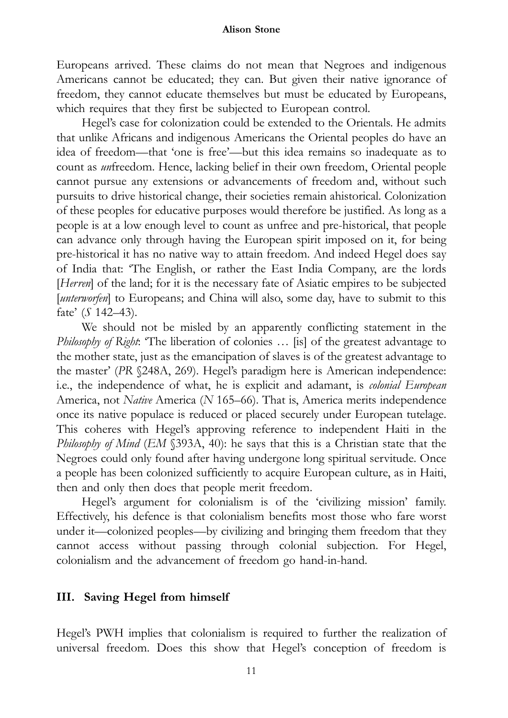Europeans arrived. These claims do not mean that Negroes and indigenous Americans cannot be educated; they can. But given their native ignorance of freedom, they cannot educate themselves but must be educated by Europeans, which requires that they first be subjected to European control.

Hegel's case for colonization could be extended to the Orientals. He admits that unlike Africans and indigenous Americans the Oriental peoples do have an idea of freedom—that 'one is free'—but this idea remains so inadequate as to count as unfreedom. Hence, lacking belief in their own freedom, Oriental people cannot pursue any extensions or advancements of freedom and, without such pursuits to drive historical change, their societies remain ahistorical. Colonization of these peoples for educative purposes would therefore be justified. As long as a people is at a low enough level to count as unfree and pre-historical, that people can advance only through having the European spirit imposed on it, for being pre-historical it has no native way to attain freedom. And indeed Hegel does say of India that: 'The English, or rather the East India Company, are the lords [Herren] of the land; for it is the necessary fate of Asiatic empires to be subjected [unterworfen] to Europeans; and China will also, some day, have to submit to this fate' (S 142-43).

We should not be misled by an apparently conflicting statement in the Philosophy of Right: 'The liberation of colonies ... [is] of the greatest advantage to the mother state, just as the emancipation of slaves is of the greatest advantage to the master' (PR §248A, 269). Hegel's paradigm here is American independence: i.e., the independence of what, he is explicit and adamant, is colonial European America, not Native America (N 165–66). That is, America merits independence once its native populace is reduced or placed securely under European tutelage. This coheres with Hegel's approving reference to independent Haiti in the Philosophy of Mind (EM §393A, 40): he says that this is a Christian state that the Negroes could only found after having undergone long spiritual servitude. Once a people has been colonized sufficiently to acquire European culture, as in Haiti, then and only then does that people merit freedom.

Hegel's argument for colonialism is of the 'civilizing mission' family. Effectively, his defence is that colonialism benefits most those who fare worst under it—colonized peoples—by civilizing and bringing them freedom that they cannot access without passing through colonial subjection. For Hegel, colonialism and the advancement of freedom go hand-in-hand.

# III. Saving Hegel from himself

Hegel's PWH implies that colonialism is required to further the realization of universal freedom. Does this show that Hegel's conception of freedom is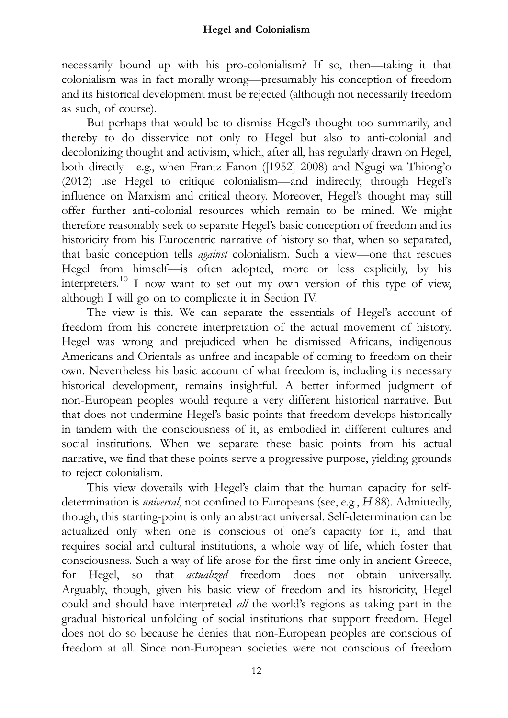necessarily bound up with his pro-colonialism? If so, then—taking it that colonialism was in fact morally wrong—presumably his conception of freedom and its historical development must be rejected (although not necessarily freedom as such, of course).

But perhaps that would be to dismiss Hegel's thought too summarily, and thereby to do disservice not only to Hegel but also to anti-colonial and decolonizing thought and activism, which, after all, has regularly drawn on Hegel, both directly—e.g., when Frantz Fanon ([1952] 2008) and Ngugi wa Thiong'o (2012) use Hegel to critique colonialism—and indirectly, through Hegel's influence on Marxism and critical theory. Moreover, Hegel's thought may still offer further anti-colonial resources which remain to be mined. We might therefore reasonably seek to separate Hegel's basic conception of freedom and its historicity from his Eurocentric narrative of history so that, when so separated, that basic conception tells against colonialism. Such a view—one that rescues Hegel from himself-is often adopted, more or less explicitly, by his interpreters.10 I now want to set out my own version of this type of view, although I will go on to complicate it in Section IV.

The view is this. We can separate the essentials of Hegel's account of freedom from his concrete interpretation of the actual movement of history. Hegel was wrong and prejudiced when he dismissed Africans, indigenous Americans and Orientals as unfree and incapable of coming to freedom on their own. Nevertheless his basic account of what freedom is, including its necessary historical development, remains insightful. A better informed judgment of non-European peoples would require a very different historical narrative. But that does not undermine Hegel's basic points that freedom develops historically in tandem with the consciousness of it, as embodied in different cultures and social institutions. When we separate these basic points from his actual narrative, we find that these points serve a progressive purpose, yielding grounds to reject colonialism.

This view dovetails with Hegel's claim that the human capacity for selfdetermination is *universal*, not confined to Europeans (see, e.g., H 88). Admittedly, though, this starting-point is only an abstract universal. Self-determination can be actualized only when one is conscious of one's capacity for it, and that requires social and cultural institutions, a whole way of life, which foster that consciousness. Such a way of life arose for the first time only in ancient Greece, for Hegel, so that *actualized* freedom does not obtain universally. Arguably, though, given his basic view of freedom and its historicity, Hegel could and should have interpreted all the world's regions as taking part in the gradual historical unfolding of social institutions that support freedom. Hegel does not do so because he denies that non-European peoples are conscious of freedom at all. Since non-European societies were not conscious of freedom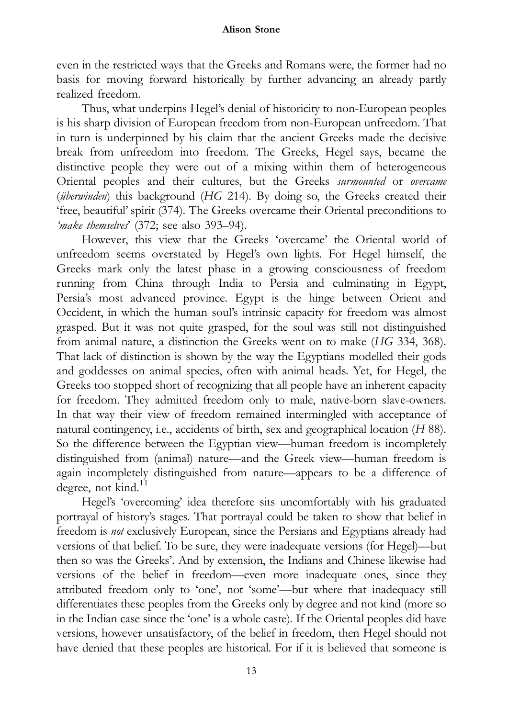even in the restricted ways that the Greeks and Romans were, the former had no basis for moving forward historically by further advancing an already partly realized freedom.

Thus, what underpins Hegel's denial of historicity to non-European peoples is his sharp division of European freedom from non-European unfreedom. That in turn is underpinned by his claim that the ancient Greeks made the decisive break from unfreedom into freedom. The Greeks, Hegel says, became the distinctive people they were out of a mixing within them of heterogeneous Oriental peoples and their cultures, but the Greeks surmounted or overcame (überwinden) this background (HG 214). By doing so, the Greeks created their 'free, beautiful' spirit (374). The Greeks overcame their Oriental preconditions to 'make themselves' (372; see also 393–94).

However, this view that the Greeks 'overcame' the Oriental world of unfreedom seems overstated by Hegel's own lights. For Hegel himself, the Greeks mark only the latest phase in a growing consciousness of freedom running from China through India to Persia and culminating in Egypt, Persia's most advanced province. Egypt is the hinge between Orient and Occident, in which the human soul's intrinsic capacity for freedom was almost grasped. But it was not quite grasped, for the soul was still not distinguished from animal nature, a distinction the Greeks went on to make (HG 334, 368). That lack of distinction is shown by the way the Egyptians modelled their gods and goddesses on animal species, often with animal heads. Yet, for Hegel, the Greeks too stopped short of recognizing that all people have an inherent capacity for freedom. They admitted freedom only to male, native-born slave-owners. In that way their view of freedom remained intermingled with acceptance of natural contingency, i.e., accidents of birth, sex and geographical location (H 88). So the difference between the Egyptian view—human freedom is incompletely distinguished from (animal) nature—and the Greek view—human freedom is again incompletely distinguished from nature—appears to be a difference of degree, not kind.<sup>11</sup>

Hegel's 'overcoming' idea therefore sits uncomfortably with his graduated portrayal of history's stages. That portrayal could be taken to show that belief in freedom is not exclusively European, since the Persians and Egyptians already had versions of that belief. To be sure, they were inadequate versions (for Hegel)—but then so was the Greeks'. And by extension, the Indians and Chinese likewise had versions of the belief in freedom—even more inadequate ones, since they attributed freedom only to 'one', not 'some'—but where that inadequacy still differentiates these peoples from the Greeks only by degree and not kind (more so in the Indian case since the 'one' is a whole caste). If the Oriental peoples did have versions, however unsatisfactory, of the belief in freedom, then Hegel should not have denied that these peoples are historical. For if it is believed that someone is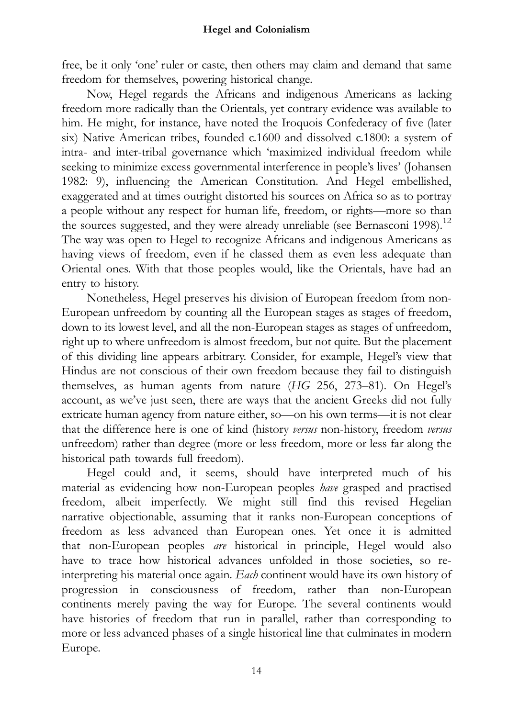free, be it only 'one' ruler or caste, then others may claim and demand that same freedom for themselves, powering historical change.

Now, Hegel regards the Africans and indigenous Americans as lacking freedom more radically than the Orientals, yet contrary evidence was available to him. He might, for instance, have noted the Iroquois Confederacy of five (later six) Native American tribes, founded c.1600 and dissolved c.1800: a system of intra- and inter-tribal governance which 'maximized individual freedom while seeking to minimize excess governmental interference in people's lives' (Johansen 1982: 9), influencing the American Constitution. And Hegel embellished, exaggerated and at times outright distorted his sources on Africa so as to portray a people without any respect for human life, freedom, or rights—more so than the sources suggested, and they were already unreliable (see Bernasconi 1998).<sup>12</sup> The way was open to Hegel to recognize Africans and indigenous Americans as having views of freedom, even if he classed them as even less adequate than Oriental ones. With that those peoples would, like the Orientals, have had an entry to history.

Nonetheless, Hegel preserves his division of European freedom from non-European unfreedom by counting all the European stages as stages of freedom, down to its lowest level, and all the non-European stages as stages of unfreedom, right up to where unfreedom is almost freedom, but not quite. But the placement of this dividing line appears arbitrary. Consider, for example, Hegel's view that Hindus are not conscious of their own freedom because they fail to distinguish themselves, as human agents from nature (HG 256, 273–81). On Hegel's account, as we've just seen, there are ways that the ancient Greeks did not fully extricate human agency from nature either, so—on his own terms—it is not clear that the difference here is one of kind (history versus non-history, freedom versus unfreedom) rather than degree (more or less freedom, more or less far along the historical path towards full freedom).

Hegel could and, it seems, should have interpreted much of his material as evidencing how non-European peoples have grasped and practised freedom, albeit imperfectly. We might still find this revised Hegelian narrative objectionable, assuming that it ranks non-European conceptions of freedom as less advanced than European ones. Yet once it is admitted that non-European peoples are historical in principle, Hegel would also have to trace how historical advances unfolded in those societies, so reinterpreting his material once again. Each continent would have its own history of progression in consciousness of freedom, rather than non-European continents merely paving the way for Europe. The several continents would have histories of freedom that run in parallel, rather than corresponding to more or less advanced phases of a single historical line that culminates in modern Europe.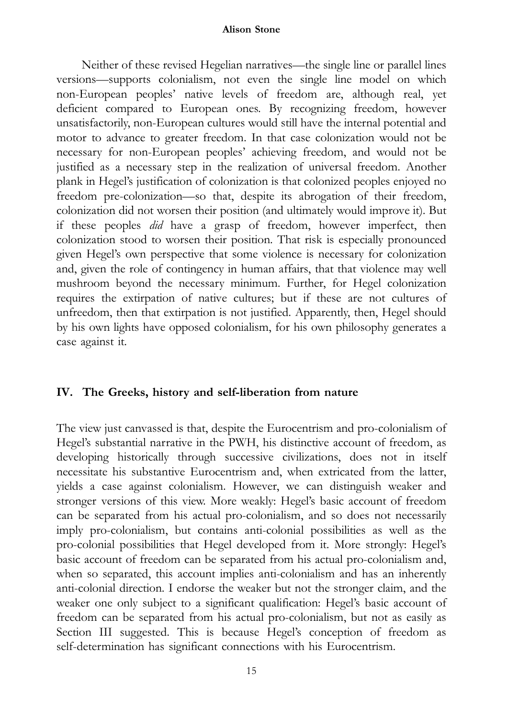Neither of these revised Hegelian narratives—the single line or parallel lines versions—supports colonialism, not even the single line model on which non-European peoples' native levels of freedom are, although real, yet deficient compared to European ones. By recognizing freedom, however unsatisfactorily, non-European cultures would still have the internal potential and motor to advance to greater freedom. In that case colonization would not be necessary for non-European peoples' achieving freedom, and would not be justified as a necessary step in the realization of universal freedom. Another plank in Hegel's justification of colonization is that colonized peoples enjoyed no freedom pre-colonization—so that, despite its abrogation of their freedom, colonization did not worsen their position (and ultimately would improve it). But if these peoples did have a grasp of freedom, however imperfect, then colonization stood to worsen their position. That risk is especially pronounced given Hegel's own perspective that some violence is necessary for colonization and, given the role of contingency in human affairs, that that violence may well mushroom beyond the necessary minimum. Further, for Hegel colonization requires the extirpation of native cultures; but if these are not cultures of unfreedom, then that extirpation is not justified. Apparently, then, Hegel should by his own lights have opposed colonialism, for his own philosophy generates a case against it.

# IV. The Greeks, history and self-liberation from nature

The view just canvassed is that, despite the Eurocentrism and pro-colonialism of Hegel's substantial narrative in the PWH, his distinctive account of freedom, as developing historically through successive civilizations, does not in itself necessitate his substantive Eurocentrism and, when extricated from the latter, yields a case against colonialism. However, we can distinguish weaker and stronger versions of this view. More weakly: Hegel's basic account of freedom can be separated from his actual pro-colonialism, and so does not necessarily imply pro-colonialism, but contains anti-colonial possibilities as well as the pro-colonial possibilities that Hegel developed from it. More strongly: Hegel's basic account of freedom can be separated from his actual pro-colonialism and, when so separated, this account implies anti-colonialism and has an inherently anti-colonial direction. I endorse the weaker but not the stronger claim, and the weaker one only subject to a significant qualification: Hegel's basic account of freedom can be separated from his actual pro-colonialism, but not as easily as Section III suggested. This is because Hegel's conception of freedom as self-determination has significant connections with his Eurocentrism.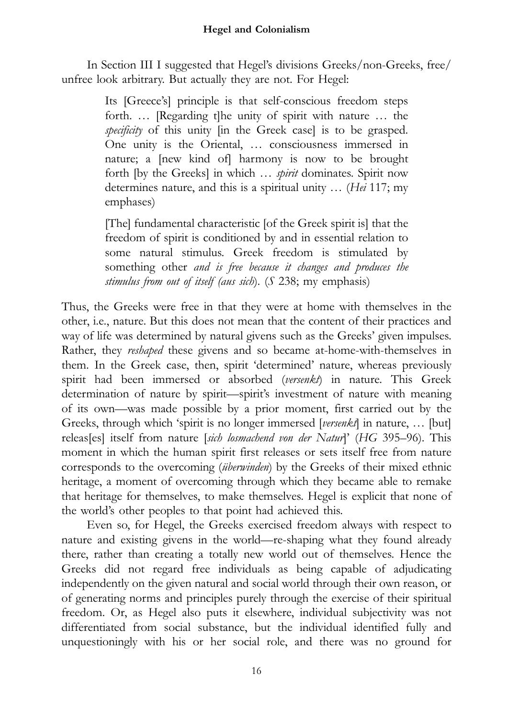In Section III I suggested that Hegel's divisions Greeks/non-Greeks, free/ unfree look arbitrary. But actually they are not. For Hegel:

> Its [Greece's] principle is that self-conscious freedom steps forth. … [Regarding t]he unity of spirit with nature … the specificity of this unity [in the Greek case] is to be grasped. One unity is the Oriental, … consciousness immersed in nature; a [new kind of] harmony is now to be brought forth [by the Greeks] in which ... *spirit* dominates. Spirit now determines nature, and this is a spiritual unity … (Hei 117; my emphases)

> [The] fundamental characteristic [of the Greek spirit is] that the freedom of spirit is conditioned by and in essential relation to some natural stimulus. Greek freedom is stimulated by something other and is free because it changes and produces the stimulus from out of itself (aus sich). (S 238; my emphasis)

Thus, the Greeks were free in that they were at home with themselves in the other, i.e., nature. But this does not mean that the content of their practices and way of life was determined by natural givens such as the Greeks' given impulses. Rather, they reshaped these givens and so became at-home-with-themselves in them. In the Greek case, then, spirit 'determined' nature, whereas previously spirit had been immersed or absorbed (versenkt) in nature. This Greek determination of nature by spirit—spirit's investment of nature with meaning of its own—was made possible by a prior moment, first carried out by the Greeks, through which 'spirit is no longer immersed [versenk] in nature, ... [but] releas[es] itself from nature [sich losmachend von der Natur]' (HG 395-96). This moment in which the human spirit first releases or sets itself free from nature corresponds to the overcoming (überwinden) by the Greeks of their mixed ethnic heritage, a moment of overcoming through which they became able to remake that heritage for themselves, to make themselves. Hegel is explicit that none of the world's other peoples to that point had achieved this.

Even so, for Hegel, the Greeks exercised freedom always with respect to nature and existing givens in the world—re-shaping what they found already there, rather than creating a totally new world out of themselves. Hence the Greeks did not regard free individuals as being capable of adjudicating independently on the given natural and social world through their own reason, or of generating norms and principles purely through the exercise of their spiritual freedom. Or, as Hegel also puts it elsewhere, individual subjectivity was not differentiated from social substance, but the individual identified fully and unquestioningly with his or her social role, and there was no ground for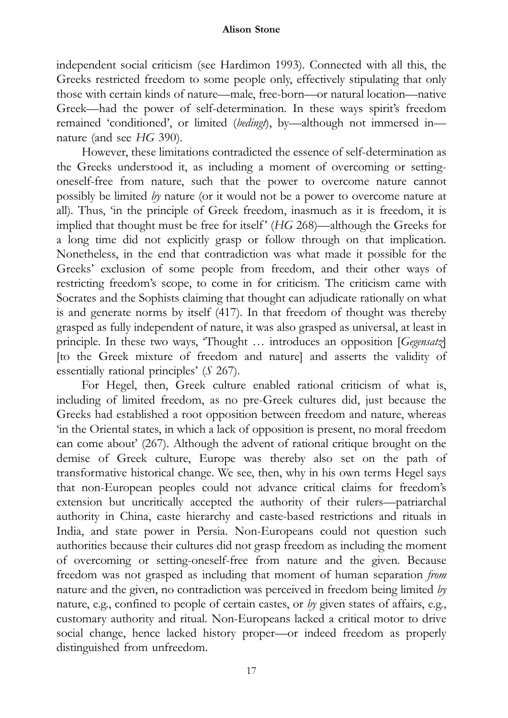independent social criticism (see Hardimon 1993). Connected with all this, the Greeks restricted freedom to some people only, effectively stipulating that only those with certain kinds of nature—male, free-born—or natural location—native Greek—had the power of self-determination. In these ways spirit's freedom remained 'conditioned', or limited (bedingt), by—although not immersed in nature (and see HG 390).

However, these limitations contradicted the essence of self-determination as the Greeks understood it, as including a moment of overcoming or settingoneself-free from nature, such that the power to overcome nature cannot possibly be limited by nature (or it would not be a power to overcome nature at all). Thus, 'in the principle of Greek freedom, inasmuch as it is freedom, it is implied that thought must be free for itself' (HG 268)—although the Greeks for a long time did not explicitly grasp or follow through on that implication. Nonetheless, in the end that contradiction was what made it possible for the Greeks' exclusion of some people from freedom, and their other ways of restricting freedom's scope, to come in for criticism. The criticism came with Socrates and the Sophists claiming that thought can adjudicate rationally on what is and generate norms by itself (417). In that freedom of thought was thereby grasped as fully independent of nature, it was also grasped as universal, at least in principle. In these two ways, 'Thought ... introduces an opposition [Gegensatz] [to the Greek mixture of freedom and nature] and asserts the validity of essentially rational principles' (S 267).

For Hegel, then, Greek culture enabled rational criticism of what is, including of limited freedom, as no pre-Greek cultures did, just because the Greeks had established a root opposition between freedom and nature, whereas 'in the Oriental states, in which a lack of opposition is present, no moral freedom can come about' (267). Although the advent of rational critique brought on the demise of Greek culture, Europe was thereby also set on the path of transformative historical change. We see, then, why in his own terms Hegel says that non-European peoples could not advance critical claims for freedom's extension but uncritically accepted the authority of their rulers—patriarchal authority in China, caste hierarchy and caste-based restrictions and rituals in India, and state power in Persia. Non-Europeans could not question such authorities because their cultures did not grasp freedom as including the moment of overcoming or setting-oneself-free from nature and the given. Because freedom was not grasped as including that moment of human separation from nature and the given, no contradiction was perceived in freedom being limited by nature, e.g., confined to people of certain castes, or by given states of affairs, e.g., customary authority and ritual. Non-Europeans lacked a critical motor to drive social change, hence lacked history proper—or indeed freedom as properly distinguished from unfreedom.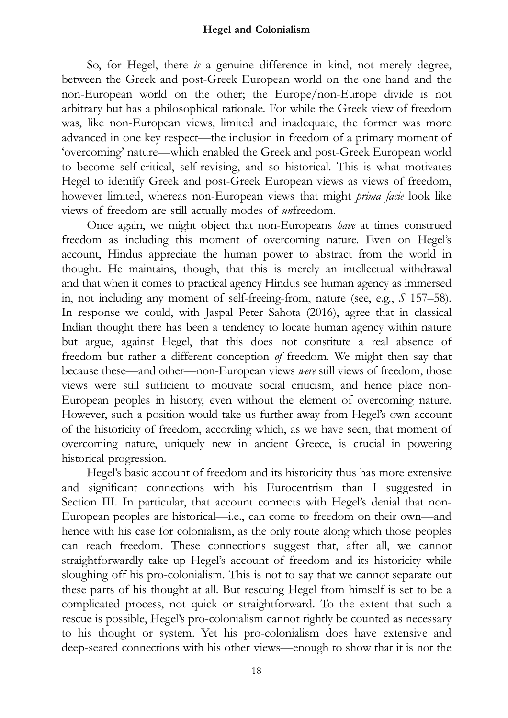So, for Hegel, there *is* a genuine difference in kind, not merely degree, between the Greek and post-Greek European world on the one hand and the non-European world on the other; the Europe/non-Europe divide is not arbitrary but has a philosophical rationale. For while the Greek view of freedom was, like non-European views, limited and inadequate, the former was more advanced in one key respect—the inclusion in freedom of a primary moment of 'overcoming' nature—which enabled the Greek and post-Greek European world to become self-critical, self-revising, and so historical. This is what motivates Hegel to identify Greek and post-Greek European views as views of freedom, however limited, whereas non-European views that might *prima facie* look like views of freedom are still actually modes of unfreedom.

Once again, we might object that non-Europeans have at times construed freedom as including this moment of overcoming nature. Even on Hegel's account, Hindus appreciate the human power to abstract from the world in thought. He maintains, though, that this is merely an intellectual withdrawal and that when it comes to practical agency Hindus see human agency as immersed in, not including any moment of self-freeing-from, nature (see, e.g., S 157–58). In response we could, with Jaspal Peter Sahota (2016), agree that in classical Indian thought there has been a tendency to locate human agency within nature but argue, against Hegel, that this does not constitute a real absence of freedom but rather a different conception of freedom. We might then say that because these—and other—non-European views were still views of freedom, those views were still sufficient to motivate social criticism, and hence place non-European peoples in history, even without the element of overcoming nature. However, such a position would take us further away from Hegel's own account of the historicity of freedom, according which, as we have seen, that moment of overcoming nature, uniquely new in ancient Greece, is crucial in powering historical progression.

Hegel's basic account of freedom and its historicity thus has more extensive and significant connections with his Eurocentrism than I suggested in Section III. In particular, that account connects with Hegel's denial that non-European peoples are historical—i.e., can come to freedom on their own—and hence with his case for colonialism, as the only route along which those peoples can reach freedom. These connections suggest that, after all, we cannot straightforwardly take up Hegel's account of freedom and its historicity while sloughing off his pro-colonialism. This is not to say that we cannot separate out these parts of his thought at all. But rescuing Hegel from himself is set to be a complicated process, not quick or straightforward. To the extent that such a rescue is possible, Hegel's pro-colonialism cannot rightly be counted as necessary to his thought or system. Yet his pro-colonialism does have extensive and deep-seated connections with his other views—enough to show that it is not the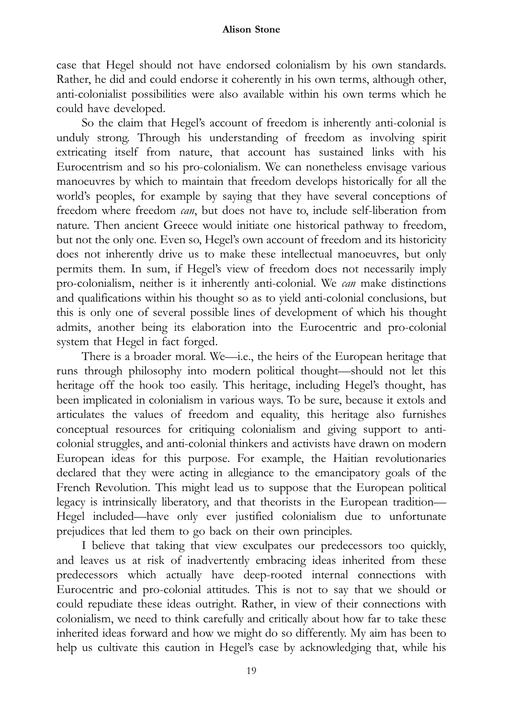case that Hegel should not have endorsed colonialism by his own standards. Rather, he did and could endorse it coherently in his own terms, although other, anti-colonialist possibilities were also available within his own terms which he could have developed.

So the claim that Hegel's account of freedom is inherently anti-colonial is unduly strong. Through his understanding of freedom as involving spirit extricating itself from nature, that account has sustained links with his Eurocentrism and so his pro-colonialism. We can nonetheless envisage various manoeuvres by which to maintain that freedom develops historically for all the world's peoples, for example by saying that they have several conceptions of freedom where freedom *can*, but does not have to, include self-liberation from nature. Then ancient Greece would initiate one historical pathway to freedom, but not the only one. Even so, Hegel's own account of freedom and its historicity does not inherently drive us to make these intellectual manoeuvres, but only permits them. In sum, if Hegel's view of freedom does not necessarily imply pro-colonialism, neither is it inherently anti-colonial. We can make distinctions and qualifications within his thought so as to yield anti-colonial conclusions, but this is only one of several possible lines of development of which his thought admits, another being its elaboration into the Eurocentric and pro-colonial system that Hegel in fact forged.

There is a broader moral. We—i.e., the heirs of the European heritage that runs through philosophy into modern political thought—should not let this heritage off the hook too easily. This heritage, including Hegel's thought, has been implicated in colonialism in various ways. To be sure, because it extols and articulates the values of freedom and equality, this heritage also furnishes conceptual resources for critiquing colonialism and giving support to anticolonial struggles, and anti-colonial thinkers and activists have drawn on modern European ideas for this purpose. For example, the Haitian revolutionaries declared that they were acting in allegiance to the emancipatory goals of the French Revolution. This might lead us to suppose that the European political legacy is intrinsically liberatory, and that theorists in the European tradition— Hegel included—have only ever justified colonialism due to unfortunate prejudices that led them to go back on their own principles.

I believe that taking that view exculpates our predecessors too quickly, and leaves us at risk of inadvertently embracing ideas inherited from these predecessors which actually have deep-rooted internal connections with Eurocentric and pro-colonial attitudes. This is not to say that we should or could repudiate these ideas outright. Rather, in view of their connections with colonialism, we need to think carefully and critically about how far to take these inherited ideas forward and how we might do so differently. My aim has been to help us cultivate this caution in Hegel's case by acknowledging that, while his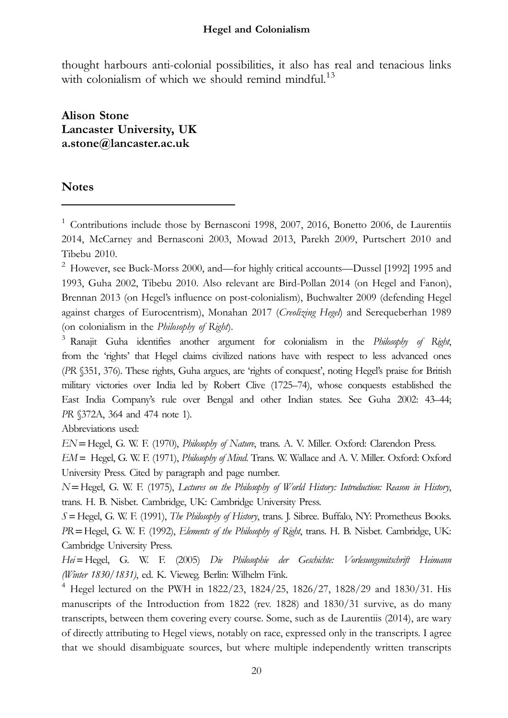thought harbours anti-colonial possibilities, it also has real and tenacious links with colonialism of which we should remind mindful.<sup>13</sup>

Alison Stone Lancaster University, UK a.stone@lancaster.ac.uk

# Notes

 $1$  Contributions include those by Bernasconi 1998, 2007, 2016, Bonetto 2006, de Laurentiis 2014, McCarney and Bernasconi 2003, Mowad 2013, Parekh 2009, Purtschert 2010 and Tibebu 2010.

<sup>2</sup> However, see Buck-Morss 2000, and—for highly critical accounts—Dussel [1992] 1995 and 1993, Guha 2002, Tibebu 2010. Also relevant are Bird-Pollan 2014 (on Hegel and Fanon), Brennan 2013 (on Hegel's influence on post-colonialism), Buchwalter 2009 (defending Hegel against charges of Eurocentrism), Monahan 2017 (Creolizing Hegel) and Serequeberhan 1989 (on colonialism in the Philosophy of Right).

 $3$  Ranajit Guha identifies another argument for colonialism in the Philosophy of Right, from the 'rights' that Hegel claims civilized nations have with respect to less advanced ones (PR §351, 376). These rights, Guha argues, are 'rights of conquest', noting Hegel's praise for British military victories over India led by Robert Clive (1725–74), whose conquests established the East India Company's rule over Bengal and other Indian states. See Guha 2002: 43–44; PR §372A, 364 and 474 note 1).

Abbreviations used:

EN=Hegel, G. W. F. (1970), Philosophy of Nature, trans. A. V. Miller. Oxford: Clarendon Press.

EM = Hegel, G. W. F. (1971), Philosophy of Mind. Trans. W. Wallace and A. V. Miller. Oxford: Oxford University Press. Cited by paragraph and page number.

N=Hegel, G. W. F. (1975), Lectures on the Philosophy of World History: Introduction: Reason in History, trans. H. B. Nisbet. Cambridge, UK: Cambridge University Press.

 $S = Hegel, G. W. F. (1991), *The Philosophy of History*, trans. J. Sibre. Berffalo, NY: Prometheus Books.$ PR=Hegel, G. W. F. (1992), Elements of the Philosophy of Right, trans. H. B. Nisbet. Cambridge, UK: Cambridge University Press.

Hei=Hegel, G. W. F. (2005) Die Philosophie der Geschichte: Vorlesungsmitschrift Heimann (Winter 1830/1831), ed. K. Vieweg. Berlin: Wilhelm Fink.

<sup>4</sup> Hegel lectured on the PWH in 1822/23, 1824/25, 1826/27, 1828/29 and 1830/31. His manuscripts of the Introduction from 1822 (rev. 1828) and 1830/31 survive, as do many transcripts, between them covering every course. Some, such as de Laurentiis (2014), are wary of directly attributing to Hegel views, notably on race, expressed only in the transcripts. I agree that we should disambiguate sources, but where multiple independently written transcripts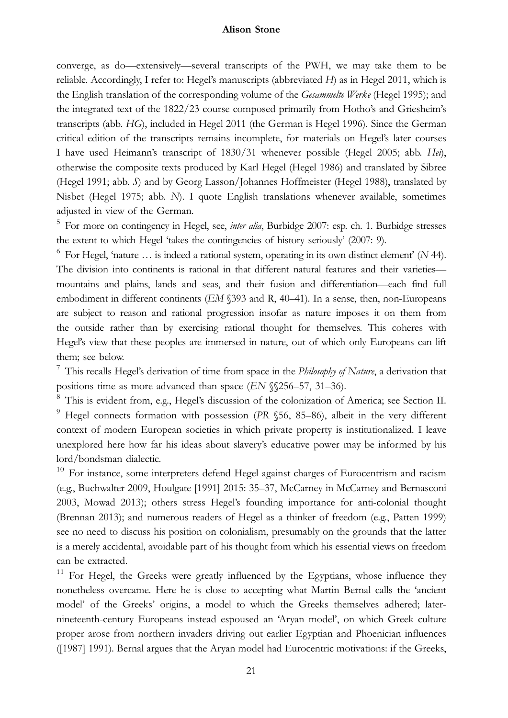converge, as do—extensively—several transcripts of the PWH, we may take them to be reliable. Accordingly, I refer to: Hegel's manuscripts (abbreviated  $H$ ) as in Hegel 2011, which is the English translation of the corresponding volume of the Gesammelte Werke (Hegel 1995); and the integrated text of the 1822/23 course composed primarily from Hotho's and Griesheim's transcripts (abb. HG), included in Hegel 2011 (the German is Hegel 1996). Since the German critical edition of the transcripts remains incomplete, for materials on Hegel's later courses I have used Heimann's transcript of 1830/31 whenever possible (Hegel 2005; abb. Hei), otherwise the composite texts produced by Karl Hegel (Hegel 1986) and translated by Sibree (Hegel 1991; abb. S) and by Georg Lasson/Johannes Hoffmeister (Hegel 1988), translated by Nisbet (Hegel 1975; abb. N). I quote English translations whenever available, sometimes adjusted in view of the German.

 $5$  For more on contingency in Hegel, see, *inter alia*, Burbidge 2007: esp. ch. 1. Burbidge stresses the extent to which Hegel 'takes the contingencies of history seriously' (2007: 9).

 $6$  For Hegel, 'nature ... is indeed a rational system, operating in its own distinct element' (N 44). The division into continents is rational in that different natural features and their varieties mountains and plains, lands and seas, and their fusion and differentiation—each find full embodiment in different continents (EM §393 and R, 40–41). In a sense, then, non-Europeans are subject to reason and rational progression insofar as nature imposes it on them from the outside rather than by exercising rational thought for themselves. This coheres with Hegel's view that these peoples are immersed in nature, out of which only Europeans can lift them; see below.

<sup>7</sup> This recalls Hegel's derivation of time from space in the *Philosophy of Nature*, a derivation that positions time as more advanced than space (EN §§256–57, 31–36).

<sup>8</sup> This is evident from, e.g., Hegel's discussion of the colonization of America; see Section II. <sup>9</sup> Hegel connects formation with possession (PR §56, 85–86), albeit in the very different context of modern European societies in which private property is institutionalized. I leave unexplored here how far his ideas about slavery's educative power may be informed by his lord/bondsman dialectic.

<sup>10</sup> For instance, some interpreters defend Hegel against charges of Eurocentrism and racism (e.g., Buchwalter 2009, Houlgate [1991] 2015: 35–37, McCarney in McCarney and Bernasconi 2003, Mowad 2013); others stress Hegel's founding importance for anti-colonial thought (Brennan 2013); and numerous readers of Hegel as a thinker of freedom (e.g., Patten 1999) see no need to discuss his position on colonialism, presumably on the grounds that the latter is a merely accidental, avoidable part of his thought from which his essential views on freedom can be extracted.

<sup>11</sup> For Hegel, the Greeks were greatly influenced by the Egyptians, whose influence they nonetheless overcame. Here he is close to accepting what Martin Bernal calls the 'ancient model' of the Greeks' origins, a model to which the Greeks themselves adhered; laternineteenth-century Europeans instead espoused an 'Aryan model', on which Greek culture proper arose from northern invaders driving out earlier Egyptian and Phoenician influences ([1987] 1991). Bernal argues that the Aryan model had Eurocentric motivations: if the Greeks,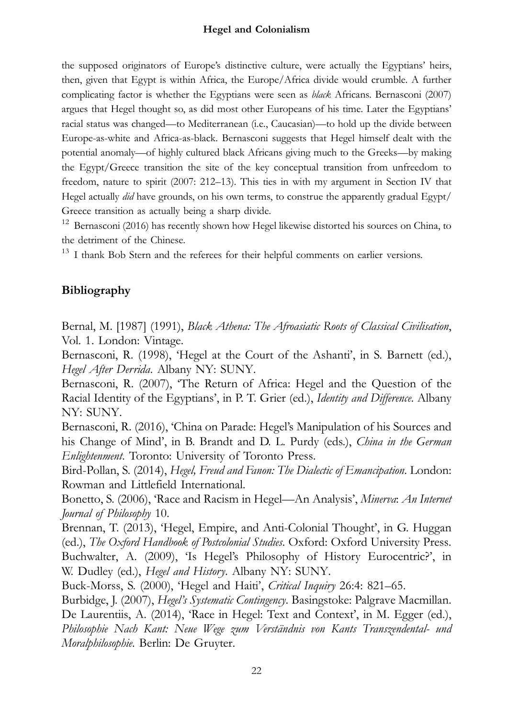the supposed originators of Europe's distinctive culture, were actually the Egyptians' heirs, then, given that Egypt is within Africa, the Europe/Africa divide would crumble. A further complicating factor is whether the Egyptians were seen as black Africans. Bernasconi (2007) argues that Hegel thought so, as did most other Europeans of his time. Later the Egyptians' racial status was changed—to Mediterranean (i.e., Caucasian)—to hold up the divide between Europe-as-white and Africa-as-black. Bernasconi suggests that Hegel himself dealt with the potential anomaly—of highly cultured black Africans giving much to the Greeks—by making the Egypt/Greece transition the site of the key conceptual transition from unfreedom to freedom, nature to spirit (2007: 212–13). This ties in with my argument in Section IV that Hegel actually *did* have grounds, on his own terms, to construe the apparently gradual Egypt/ Greece transition as actually being a sharp divide.

<sup>12</sup> Bernasconi (2016) has recently shown how Hegel likewise distorted his sources on China, to the detriment of the Chinese.

<sup>13</sup> I thank Bob Stern and the referees for their helpful comments on earlier versions.

# Bibliography

Bernal, M. [1987] (1991), Black Athena: The Afroasiatic Roots of Classical Civilisation, Vol. 1. London: Vintage.

Bernasconi, R. (1998), 'Hegel at the Court of the Ashanti', in S. Barnett (ed.), Hegel After Derrida. Albany NY: SUNY.

Bernasconi, R. (2007), 'The Return of Africa: Hegel and the Question of the Racial Identity of the Egyptians', in P. T. Grier (ed.), Identity and Difference. Albany NY: SUNY.

Bernasconi, R. (2016), 'China on Parade: Hegel's Manipulation of his Sources and his Change of Mind', in B. Brandt and D. L. Purdy (eds.), China in the German Enlightenment. Toronto: University of Toronto Press.

Bird-Pollan, S. (2014), Hegel, Freud and Fanon: The Dialectic of Emancipation. London: Rowman and Littlefield International.

Bonetto, S. (2006), 'Race and Racism in Hegel—An Analysis', Minerva: An Internet Journal of Philosophy 10.

Brennan, T. (2013), 'Hegel, Empire, and Anti-Colonial Thought', in G. Huggan (ed.), The Oxford Handbook of Postcolonial Studies. Oxford: Oxford University Press. Buchwalter, A. (2009), 'Is Hegel's Philosophy of History Eurocentric?', in W. Dudley (ed.), *Hegel and History*. Albany NY: SUNY.

Buck-Morss, S. (2000), 'Hegel and Haiti', Critical Inquiry 26:4: 821–65.

Burbidge, J. (2007), *Hegel's Systematic Contingency*. Basingstoke: Palgrave Macmillan. De Laurentiis, A. (2014), 'Race in Hegel: Text and Context', in M. Egger (ed.), Philosophie Nach Kant: Neue Wege zum Verständnis von Kants Transzendental- und Moralphilosophie. Berlin: De Gruyter.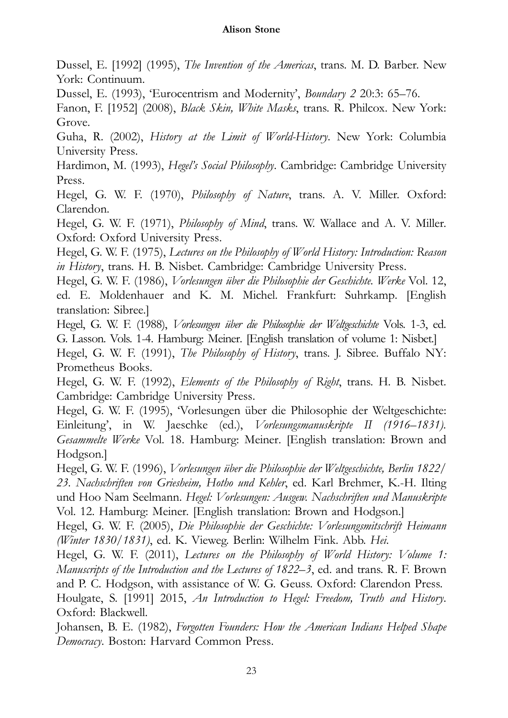Dussel, E. [1992] (1995), The Invention of the Americas, trans. M. D. Barber. New York: Continuum.

Dussel, E. (1993), 'Eurocentrism and Modernity', Boundary 2 20:3: 65–76.

Fanon, F. [1952] (2008), Black Skin, White Masks, trans. R. Philcox. New York: Grove.

Guha, R. (2002), History at the Limit of World-History. New York: Columbia University Press.

Hardimon, M. (1993), Hegel's Social Philosophy. Cambridge: Cambridge University Press.

Hegel, G. W. F. (1970), Philosophy of Nature, trans. A. V. Miller. Oxford: Clarendon.

Hegel, G. W. F. (1971), *Philosophy of Mind*, trans. W. Wallace and A. V. Miller. Oxford: Oxford University Press.

Hegel, G. W. F. (1975), Lectures on the Philosophy of World History: Introduction: Reason in History, trans. H. B. Nisbet. Cambridge: Cambridge University Press.

Hegel, G. W. F. (1986), Vorlesungen über die Philosophie der Geschichte. Werke Vol. 12, ed. E. Moldenhauer and K. M. Michel. Frankfurt: Suhrkamp. [English translation: Sibree.]

Hegel, G. W. F. (1988), Vorlesungen über die Philosophie der Weltgeschichte Vols. 1-3, ed. G. Lasson. Vols. 1-4. Hamburg: Meiner. [English translation of volume 1: Nisbet.]

Hegel, G. W. F. (1991), The Philosophy of History, trans. J. Sibree. Buffalo NY: Prometheus Books.

Hegel, G. W. F. (1992), Elements of the Philosophy of Right, trans. H. B. Nisbet. Cambridge: Cambridge University Press.

Hegel, G. W. F. (1995), 'Vorlesungen über die Philosophie der Weltgeschichte: Einleitung', in W. Jaeschke (ed.), Vorlesungsmanuskripte II (1916–1831). Gesammelte Werke Vol. 18. Hamburg: Meiner. [English translation: Brown and Hodgson.]

Hegel, G. W. F. (1996), Vorlesungen über die Philosophie der Weltgeschichte, Berlin 1822/ 23. Nachschriften von Griesheim, Hotho und Kehler, ed. Karl Brehmer, K.-H. Ilting und Hoo Nam Seelmann. Hegel: Vorlesungen: Ausgew. Nachschriften und Manuskripte Vol. 12. Hamburg: Meiner. [English translation: Brown and Hodgson.]

Hegel, G. W. F. (2005), Die Philosophie der Geschichte: Vorlesungsmitschrift Heimann (Winter 1830/1831), ed. K. Vieweg. Berlin: Wilhelm Fink. Abb. Hei.

Hegel, G. W. F. (2011), Lectures on the Philosophy of World History: Volume 1: Manuscripts of the Introduction and the Lectures of 1822–3, ed. and trans. R. F. Brown and P. C. Hodgson, with assistance of W. G. Geuss. Oxford: Clarendon Press.

Houlgate, S. [1991] 2015, An Introduction to Hegel: Freedom, Truth and History. Oxford: Blackwell.

Johansen, B. E. (1982), Forgotten Founders: How the American Indians Helped Shape Democracy. Boston: Harvard Common Press.